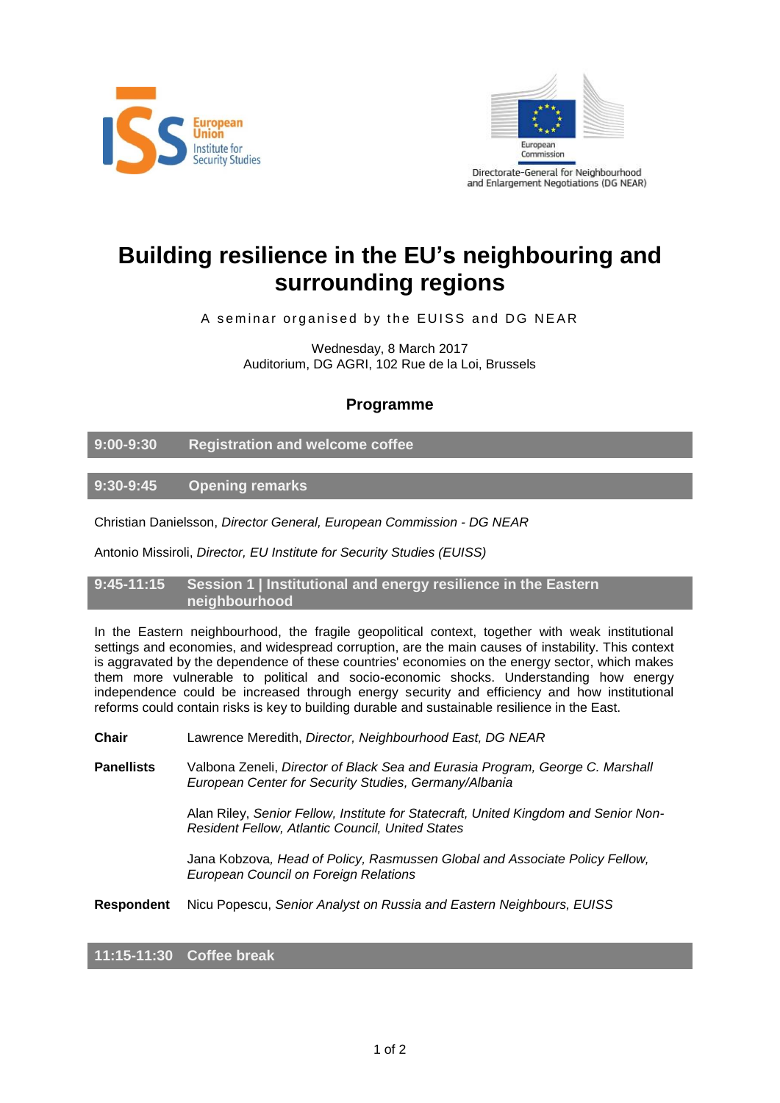



# **Building resilience in the EU's neighbouring and surrounding regions**

A seminar organised by the EUISS and DG NEAR

Wednesday, 8 March 2017 Auditorium, DG AGRI, 102 Rue de la Loi, Brussels

## **Programme**

**9:00-9:30 Registration and welcome coffee**

**9:30-9:45 Opening remarks**

Christian Danielsson, *Director General, European Commission - DG NEAR*

Antonio Missiroli, *Director, EU Institute for Security Studies (EUISS)*

**9:45-11:15 Session 1 | Institutional and energy resilience in the Eastern neighbourhood**

In the Eastern neighbourhood, the fragile geopolitical context, together with weak institutional settings and economies, and widespread corruption, are the main causes of instability. This context is aggravated by the dependence of these countries' economies on the energy sector, which makes them more vulnerable to political and socio-economic shocks. Understanding how energy independence could be increased through energy security and efficiency and how institutional reforms could contain risks is key to building durable and sustainable resilience in the East.

**Chair** Lawrence Meredith, *Director, Neighbourhood East, DG NEAR*

**Panellists** Valbona Zeneli, *Director of Black Sea and Eurasia Program, George C. Marshall European Center for Security Studies, Germany/Albania*

> Alan Riley, *Senior Fellow, Institute for Statecraft, United Kingdom and Senior Non-Resident Fellow, Atlantic Council, United States*

Jana Kobzova*, Head of Policy, Rasmussen Global and Associate Policy Fellow, European Council on Foreign Relations*

**Respondent** Nicu Popescu, *Senior Analyst on Russia and Eastern Neighbours, EUISS*

**11:15-11:30 Coffee break**